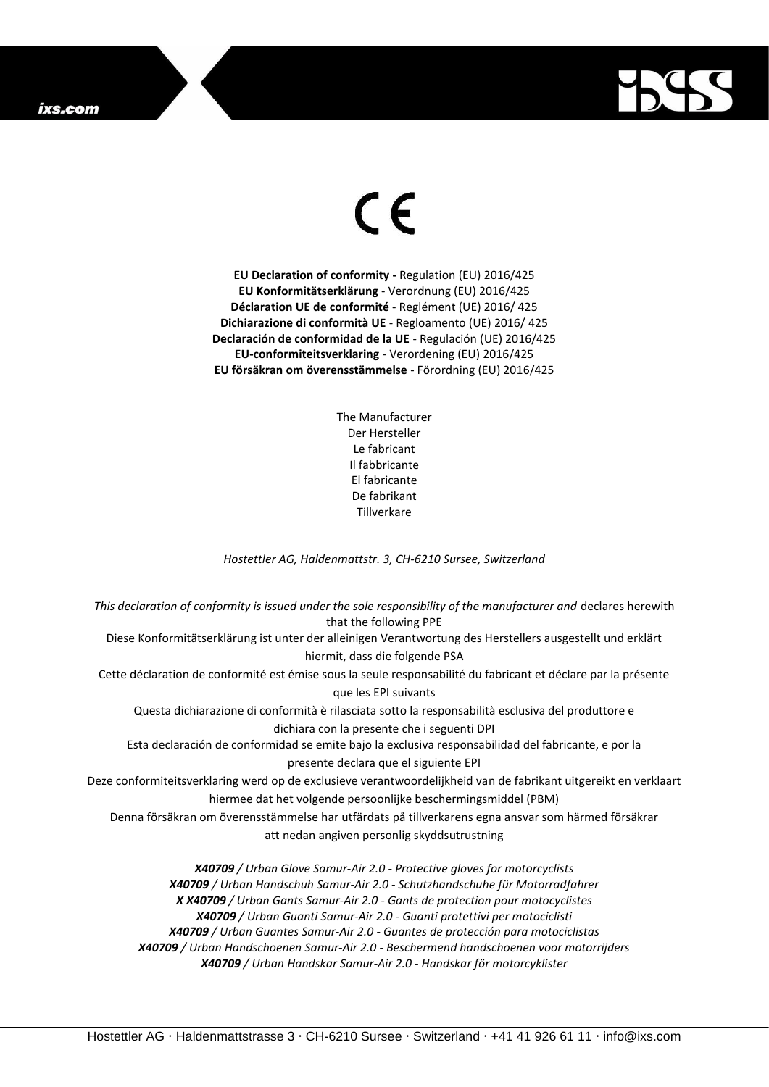## ixs.com



## $\epsilon$

**EU Declaration of conformity -** Regulation (EU) 2016/425 **EU Konformitätserklärung** - Verordnung (EU) 2016/425 **Déclaration UE de conformité** - Reglément (UE) 2016/ 425 **Dichiarazione di conformità UE** - Regloamento (UE) 2016/ 425 **Declaración de conformidad de la UE** - Regulación (UE) 2016/425 **EU-conformiteitsverklaring** - Verordening (EU) 2016/425 **EU försäkran om överensstämmelse** - Förordning (EU) 2016/425

> The Manufacturer Der Hersteller Le fabricant Il fabbricante El fabricante De fabrikant **Tillverkare**

*Hostettler AG, Haldenmattstr. 3, CH-6210 Sursee, Switzerland*

*This declaration of conformity is issued under the sole responsibility of the manufacturer and* declares herewith that the following PPE Diese Konformitätserklärung ist unter der alleinigen Verantwortung des Herstellers ausgestellt und erklärt hiermit, dass die folgende PSA Cette déclaration de conformité est émise sous la seule responsabilité du fabricant et déclare par la présente que les EPI suivants Questa dichiarazione di conformità è rilasciata sotto la responsabilità esclusiva del produttore e dichiara con la presente che i seguenti DPI Esta declaración de conformidad se emite bajo la exclusiva responsabilidad del fabricante, e por la presente declara que el siguiente EPI Deze conformiteitsverklaring werd op de exclusieve verantwoordelijkheid van de fabrikant uitgereikt en verklaart hiermee dat het volgende persoonlijke beschermingsmiddel (PBM) Denna försäkran om överensstämmelse har utfärdats på tillverkarens egna ansvar som härmed försäkrar att nedan angiven personlig skyddsutrustning *X40709 / Urban Glove Samur-Air 2.0 - Protective gloves for motorcyclists X40709 / Urban Handschuh Samur-Air 2.0 - Schutzhandschuhe für Motorradfahrer X X40709 / Urban Gants Samur-Air 2.0 - Gants de protection pour motocyclistes X40709 / Urban Guanti Samur-Air 2.0 - Guanti protettivi per motociclisti*

*X40709 / Urban Guantes Samur-Air 2.0 - Guantes de protección para motociclistas*

*X40709 / Urban Handschoenen Samur-Air 2.0 - Beschermend handschoenen voor motorrijders*

*X40709 / Urban Handskar Samur-Air 2.0 - Handskar för motorcyklister*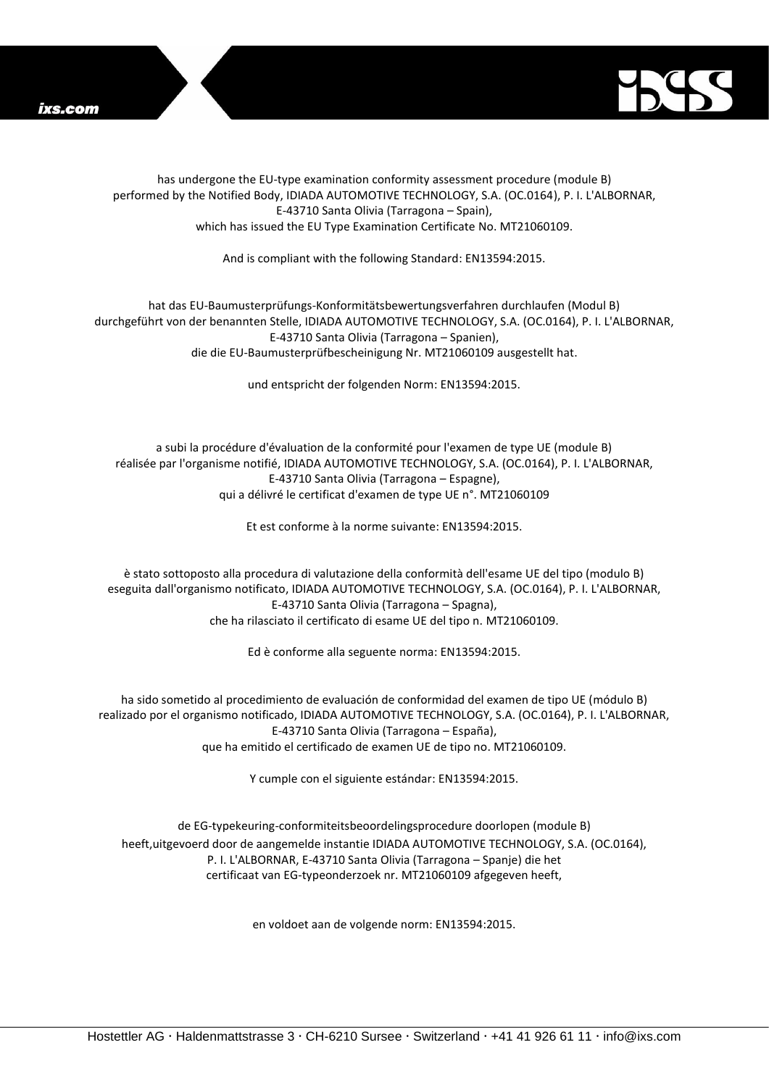



has undergone the EU-type examination conformity assessment procedure (module B) performed by the Notified Body, IDIADA AUTOMOTIVE TECHNOLOGY, S.A. (OC.0164), P. I. L'ALBORNAR, E-43710 Santa Olivia (Tarragona – Spain), which has issued the EU Type Examination Certificate No. MT21060109.

And is compliant with the following Standard: EN13594:2015.

hat das EU-Baumusterprüfungs-Konformitätsbewertungsverfahren durchlaufen (Modul B) durchgeführt von der benannten Stelle, IDIADA AUTOMOTIVE TECHNOLOGY, S.A. (OC.0164), P. I. L'ALBORNAR, E-43710 Santa Olivia (Tarragona – Spanien), die die EU-Baumusterprüfbescheinigung Nr. MT21060109 ausgestellt hat.

und entspricht der folgenden Norm: EN13594:2015.

a subi la procédure d'évaluation de la conformité pour l'examen de type UE (module B) réalisée par l'organisme notifié, IDIADA AUTOMOTIVE TECHNOLOGY, S.A. (OC.0164), P. I. L'ALBORNAR, E-43710 Santa Olivia (Tarragona – Espagne), qui a délivré le certificat d'examen de type UE n°. MT21060109

Et est conforme à la norme suivante: EN13594:2015.

è stato sottoposto alla procedura di valutazione della conformità dell'esame UE del tipo (modulo B) eseguita dall'organismo notificato, IDIADA AUTOMOTIVE TECHNOLOGY, S.A. (OC.0164), P. I. L'ALBORNAR, E-43710 Santa Olivia (Tarragona – Spagna), che ha rilasciato il certificato di esame UE del tipo n. MT21060109.

Ed è conforme alla seguente norma: EN13594:2015.

ha sido sometido al procedimiento de evaluación de conformidad del examen de tipo UE (módulo B) realizado por el organismo notificado, IDIADA AUTOMOTIVE TECHNOLOGY, S.A. (OC.0164), P. I. L'ALBORNAR, E-43710 Santa Olivia (Tarragona – España), que ha emitido el certificado de examen UE de tipo no. MT21060109.

Y cumple con el siguiente estándar: EN13594:2015.

de EG-typekeuring-conformiteitsbeoordelingsprocedure doorlopen (module B) heeft,uitgevoerd door de aangemelde instantie IDIADA AUTOMOTIVE TECHNOLOGY, S.A. (OC.0164), P. I. L'ALBORNAR, E-43710 Santa Olivia (Tarragona – Spanje) die het certificaat van EG-typeonderzoek nr. MT21060109 afgegeven heeft,

en voldoet aan de volgende norm: EN13594:2015.